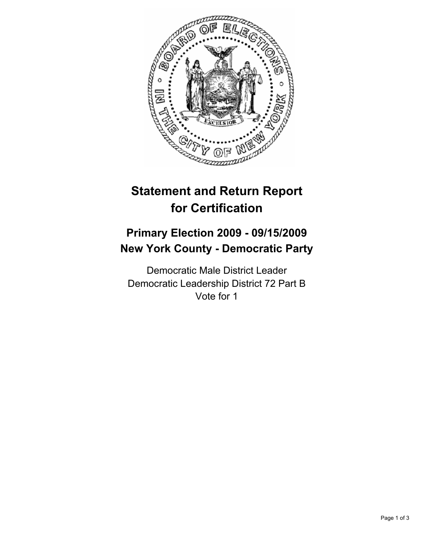

# **Statement and Return Report for Certification**

## **Primary Election 2009 - 09/15/2009 New York County - Democratic Party**

Democratic Male District Leader Democratic Leadership District 72 Part B Vote for 1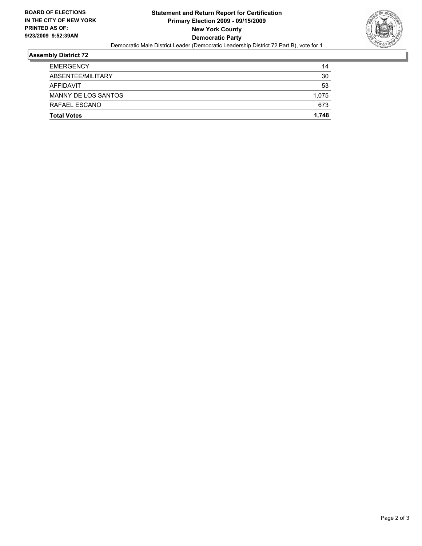

#### **Assembly District 72**

| <b>Total Votes</b>  | 1.748 |
|---------------------|-------|
| RAFAEL ESCANO       | 673   |
| MANNY DE LOS SANTOS | 1.075 |
| AFFIDAVIT           | 53    |
| ABSENTEE/MILITARY   | 30    |
| <b>EMERGENCY</b>    | 14    |